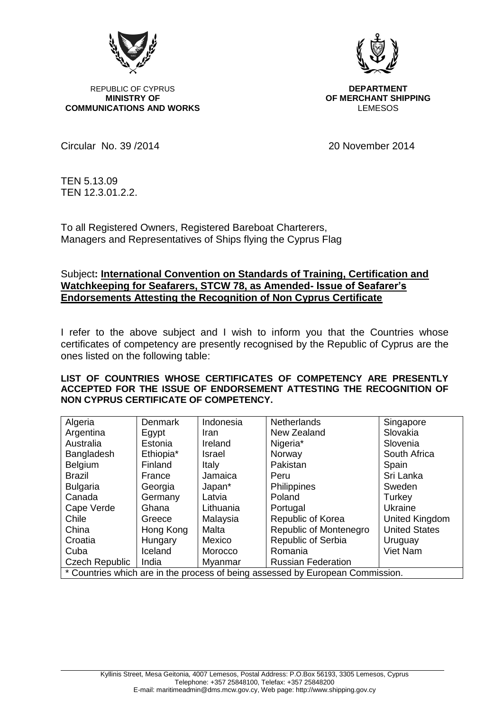

REPUBLIC OF CYPRUS **DEPARTMENT**<br>MINISTRY OF **DEPARTMENT COMMUNICATIONS AND WORKS** 



**OF MERCHANT SHIPPING**<br>LEMESOS

Circular No. 39 /2014 20 November 2014

TEN 5.13.09 TEN 12.3.01.2.2.

To all Registered Owners, Registered Bareboat Charterers, Managers and Representatives of Ships flying the Cyprus Flag

## Subject**: International Convention on Standards of Training, Certification and Watchkeeping for Seafarers, STCW 78, as Amended- Issue of Seafarer's Endorsements Attesting the Recognition of Non Cyprus Certificate**

I refer to the above subject and I wish to inform you that the Countries whose certificates of competency are presently recognised by the Republic of Cyprus are the ones listed on the following table:

## **LIST OF COUNTRIES WHOSE CERTIFICATES OF COMPETENCY ARE PRESENTLY ACCEPTED FOR THE ISSUE OF ENDORSEMENT ATTESTING THE RECOGNITION OF NON CYPRUS CERTIFICATE OF COMPETENCY.**

| Algeria                                                                        | <b>Denmark</b> | Indonesia    | <b>Netherlands</b>        | Singapore            |
|--------------------------------------------------------------------------------|----------------|--------------|---------------------------|----------------------|
| Argentina                                                                      | Egypt          | Iran         | New Zealand               | Slovakia             |
| Australia                                                                      | Estonia        | Ireland      | Nigeria <sup>*</sup>      | Slovenia             |
| Bangladesh                                                                     | Ethiopia*      | Israel       | Norway                    | South Africa         |
| Belgium                                                                        | Finland        | <b>Italy</b> | Pakistan                  | Spain                |
| <b>Brazil</b>                                                                  | France         | Jamaica      | Peru                      | Sri Lanka            |
| <b>Bulgaria</b>                                                                | Georgia        | Japan*       | <b>Philippines</b>        | Sweden               |
| Canada                                                                         | Germany        | Latvia       | Poland                    | Turkey               |
| Cape Verde                                                                     | Ghana          | Lithuania    | Portugal                  | Ukraine              |
| Chile                                                                          | Greece         | Malaysia     | Republic of Korea         | United Kingdom       |
| China                                                                          | Hong Kong      | Malta        | Republic of Montenegro    | <b>United States</b> |
| Croatia                                                                        | Hungary        | Mexico       | Republic of Serbia        | Uruguay              |
| Cuba                                                                           | Iceland        | Morocco      | Romania                   | Viet Nam             |
| Czech Republic                                                                 | India          | Myanmar      | <b>Russian Federation</b> |                      |
| * Countries which are in the process of being assessed by European Commission. |                |              |                           |                      |